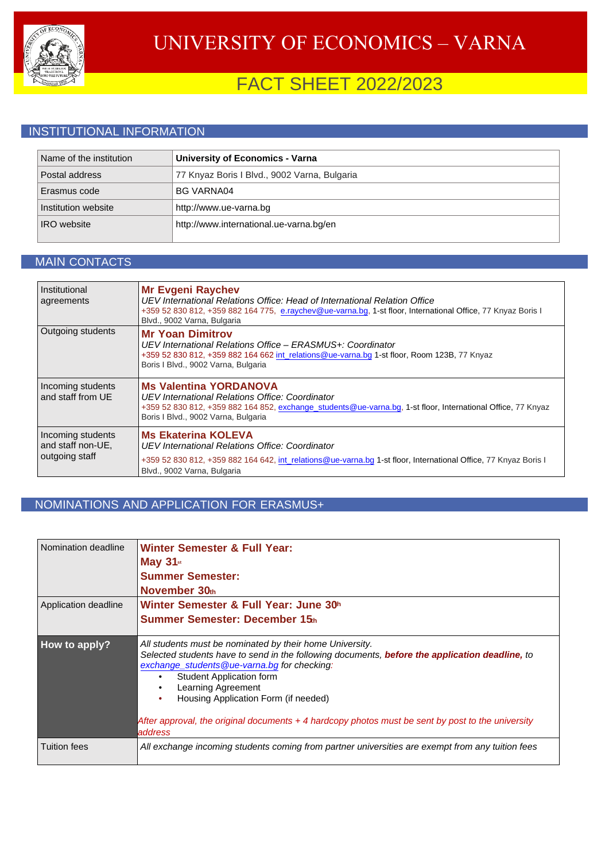

# FACT SHEET 2022/2023

### INSTITUTIONAL INFORMATION

| Name of the institution | <b>University of Economics - Varna</b>       |
|-------------------------|----------------------------------------------|
| Postal address          | 77 Knyaz Boris I Blvd., 9002 Varna, Bulgaria |
| Erasmus code            | <b>BG VARNA04</b>                            |
| Institution website     | http://www.ue-varna.bg                       |
| <b>IRO</b> website      | http://www.international.ue-varna.bg/en      |

#### MAIN CONTACTS

| Institutional<br>agreements                              | <b>Mr Evgeni Raychev</b><br>UEV International Relations Office: Head of International Relation Office<br>+359 52 830 812, +359 882 164 775, e.raychev@ue-varna.bg, 1-st floor, International Office, 77 Knyaz Boris I<br>Blvd., 9002 Varna, Bulgaria |
|----------------------------------------------------------|------------------------------------------------------------------------------------------------------------------------------------------------------------------------------------------------------------------------------------------------------|
| Outgoing students                                        | <b>Mr Yoan Dimitrov</b><br>UEV International Relations Office - ERASMUS+: Coordinator<br>+359 52 830 812, +359 882 164 662 int relations@ue-varna.bg 1-st floor, Room 123B, 77 Knyaz<br>Boris I Blvd., 9002 Varna, Bulgaria                          |
| Incoming students<br>and staff from UF                   | <b>Ms Valentina YORDANOVA</b><br>UEV International Relations Office: Coordinator<br>+359 52 830 812, +359 882 164 852, exchange students@ue-varna.bg, 1-st floor, International Office, 77 Knyaz<br>Boris I Blvd., 9002 Varna, Bulgaria              |
| Incoming students<br>and staff non-UE,<br>outgoing staff | <b>Ms Ekaterina KOLEVA</b><br>UEV International Relations Office: Coordinator<br>+359 52 830 812, +359 882 164 642, int relations@ue-varna.bg 1-st floor, International Office, 77 Knyaz Boris I<br>Blvd., 9002 Varna, Bulgaria                      |

### NOMINATIONS AND APPLICATION FOR ERASMUS+

| Nomination deadline  | <b>Winter Semester &amp; Full Year:</b><br><b>May 31</b> st<br><b>Summer Semester:</b><br>November 30th                                                                                                                                                                                                                                                                                                                                                       |
|----------------------|---------------------------------------------------------------------------------------------------------------------------------------------------------------------------------------------------------------------------------------------------------------------------------------------------------------------------------------------------------------------------------------------------------------------------------------------------------------|
| Application deadline | Winter Semester & Full Year: June 30h<br>Summer Semester: December 15th                                                                                                                                                                                                                                                                                                                                                                                       |
| How to apply?        | All students must be nominated by their home University.<br>Selected students have to send in the following documents, <b>before the application deadline</b> , to<br>exchange_students@ue-varna.bg for checking:<br><b>Student Application form</b><br>$\bullet$<br>Learning Agreement<br>$\bullet$<br>Housing Application Form (if needed)<br>After approval, the original documents $+4$ hardcopy photos must be sent by post to the university<br>address |
| <b>Tuition fees</b>  | All exchange incoming students coming from partner universities are exempt from any tuition fees                                                                                                                                                                                                                                                                                                                                                              |